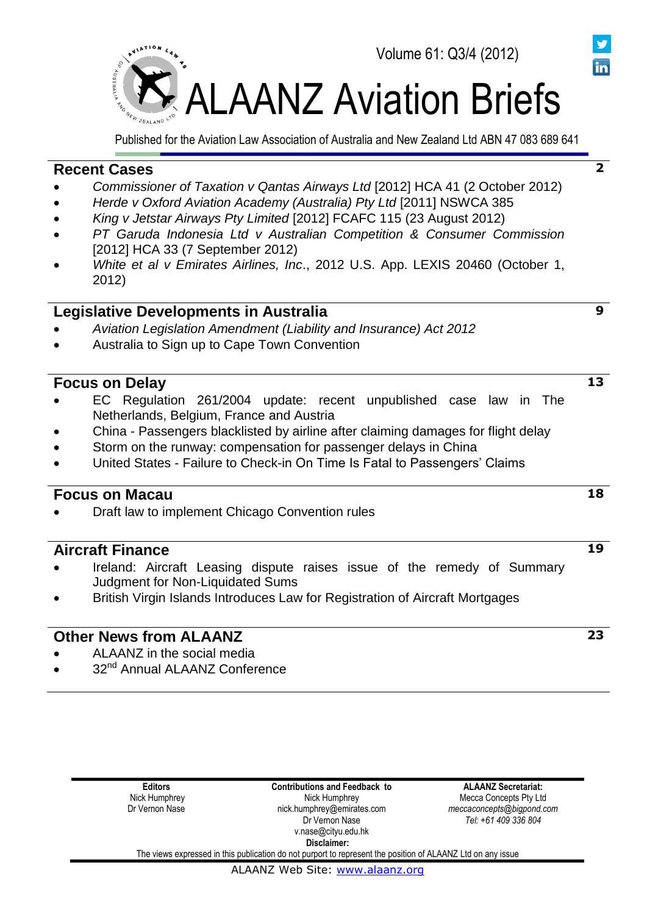

Published for the Aviation Law Association of Australia and New Zealand Ltd ABN 47 083 689 641

# **Recent Cases**

- *Commissioner of Taxation v Qantas Airways Ltd* [2012] HCA 41 (2 October 2012)
- *Herde v Oxford Aviation Academy (Australia) Pty Ltd* [2011] NSWCA 385
- *King v Jetstar Airways Pty Limited* [2012] FCAFC 115 (23 August 2012)
- *PT Garuda Indonesia Ltd v Australian Competition & Consumer Commission*  [2012] HCA 33 (7 September 2012)
- *White et al v Emirates Airlines, Inc*., 2012 U.S. App. LEXIS 20460 (October 1, 2012)

# **Legislative Developments in Australia**

- *Aviation Legislation Amendment (Liability and Insurance) Act 2012*
- Australia to Sign up to Cape Town Convention

# **Focus on Delay**

- EC Regulation 261/2004 update: recent unpublished case law in The Netherlands, Belgium, France and Austria
- China Passengers blacklisted by airline after claiming damages for flight delay
- Storm on the runway: compensation for passenger delays in China
- United States Failure to Check-in On Time Is Fatal to Passengers' Claims

# **Focus on Macau**

Draft law to implement Chicago Convention rules

# **Aircraft Finance**

- Ireland: Aircraft Leasing dispute raises issue of the remedy of Summary Judgment for Non-Liquidated Sums
- British Virgin Islands Introduces Law for Registration of Aircraft Mortgages

# **Other News from ALAANZ**

- ALAANZ in the social media
- 32<sup>nd</sup> Annual ALAANZ Conference

| <b>Editors</b> | <b>Contributions and Feedback to</b>                                                                        | <b>ALAANZ Secretariat:</b> |
|----------------|-------------------------------------------------------------------------------------------------------------|----------------------------|
| Nick Humphrey  | Nick Humphrey                                                                                               | Mecca Concepts Pty Ltd     |
| Dr Vernon Nase | nick.humphrey@emirates.com                                                                                  | meccaconcepts@bigpond.com  |
|                | Dr Vernon Nase                                                                                              | Tel: +61 409 336 804       |
|                | v.nase@cityu.edu.hk                                                                                         |                            |
|                | Disclaimer:                                                                                                 |                            |
|                | The views expressed in this publication do not purport to represent the position of ALAANZ Ltd on any issue |                            |



**2**

**9**

**19**

**18**

**23**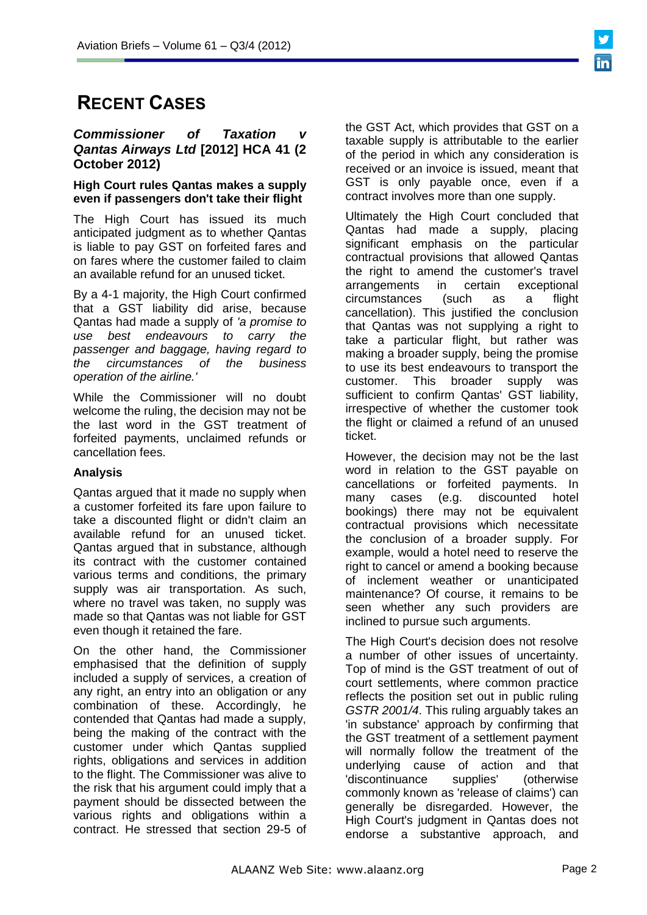# **RECENT CASES**

## **Commissioner of Taxation** *Qantas Airways Ltd* **[2012] HCA 41 (2 October 2012)**

## **High Court rules Qantas makes a supply even if passengers don't take their flight**

The High Court has issued its much anticipated judgment as to whether Qantas is liable to pay GST on forfeited fares and on fares where the customer failed to claim an available refund for an unused ticket.

By a 4-1 majority, the High Court confirmed that a GST liability did arise, because Qantas had made a supply of *'a promise to use best endeavours to carry the passenger and baggage, having regard to the circumstances of the business operation of the airline.'* 

While the Commissioner will no doubt welcome the ruling, the decision may not be the last word in the GST treatment of forfeited payments, unclaimed refunds or cancellation fees.

# **Analysis**

Qantas argued that it made no supply when a customer forfeited its fare upon failure to take a discounted flight or didn't claim an available refund for an unused ticket. Qantas argued that in substance, although its contract with the customer contained various terms and conditions, the primary supply was air transportation. As such, where no travel was taken, no supply was made so that Qantas was not liable for GST even though it retained the fare.

On the other hand, the Commissioner emphasised that the definition of supply included a supply of services, a creation of any right, an entry into an obligation or any combination of these. Accordingly, he contended that Qantas had made a supply, being the making of the contract with the customer under which Qantas supplied rights, obligations and services in addition to the flight. The Commissioner was alive to the risk that his argument could imply that a payment should be dissected between the various rights and obligations within a contract. He stressed that section 29-5 of

the GST Act, which provides that GST on a taxable supply is attributable to the earlier of the period in which any consideration is received or an invoice is issued, meant that GST is only payable once, even if a contract involves more than one supply.

Ultimately the High Court concluded that Qantas had made a supply, placing significant emphasis on the particular contractual provisions that allowed Qantas the right to amend the customer's travel arrangements in certain exceptional circumstances (such as a flight cancellation). This justified the conclusion that Qantas was not supplying a right to take a particular flight, but rather was making a broader supply, being the promise to use its best endeavours to transport the customer. This broader supply was sufficient to confirm Qantas' GST liability, irrespective of whether the customer took the flight or claimed a refund of an unused ticket.

However, the decision may not be the last word in relation to the GST payable on cancellations or forfeited payments. In many cases (e.g. discounted hotel bookings) there may not be equivalent contractual provisions which necessitate the conclusion of a broader supply. For example, would a hotel need to reserve the right to cancel or amend a booking because of inclement weather or unanticipated maintenance? Of course, it remains to be seen whether any such providers are inclined to pursue such arguments.

The High Court's decision does not resolve a number of other issues of uncertainty. Top of mind is the GST treatment of out of court settlements, where common practice reflects the position set out in public ruling *GSTR 2001/4*. This ruling arguably takes an 'in substance' approach by confirming that the GST treatment of a settlement payment will normally follow the treatment of the underlying cause of action and that 'discontinuance supplies' (otherwise commonly known as 'release of claims') can generally be disregarded. However, the High Court's judgment in Qantas does not endorse a substantive approach, and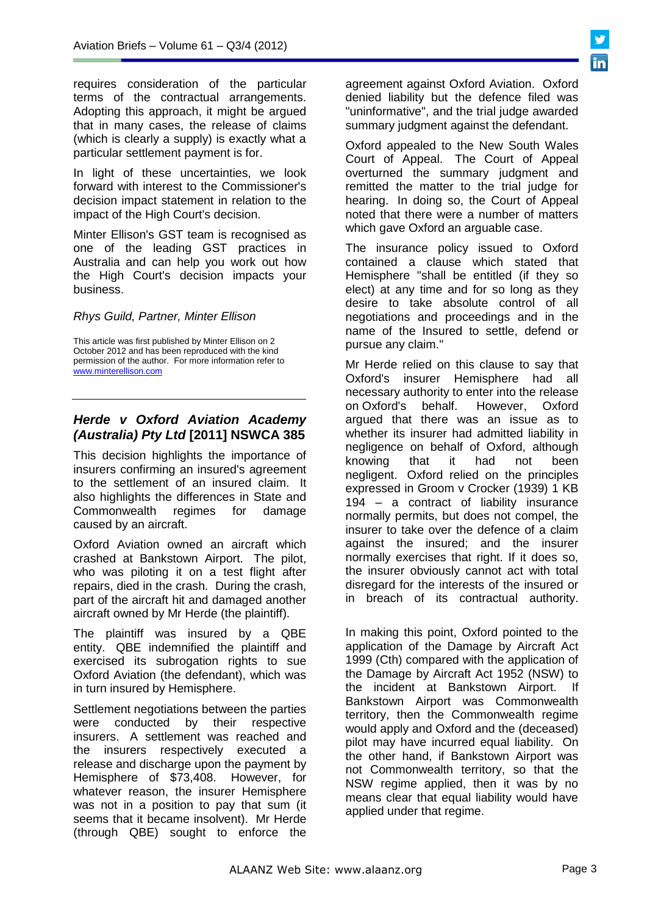requires consideration of the particular terms of the contractual arrangements. Adopting this approach, it might be argued that in many cases, the release of claims (which is clearly a supply) is exactly what a particular settlement payment is for.

In light of these uncertainties, we look forward with interest to the Commissioner's decision impact statement in relation to the impact of the High Court's decision.

Minter Ellison's GST team is recognised as one of the leading GST practices in Australia and can help you work out how the High Court's decision impacts your business.

#### *Rhys Guild, Partner, Minter Ellison*

This article was first published by Minter Ellison on 2 October 2012 and has been reproduced with the kind permission of the author. For more information refer to [www.minterellison.com](http://www.minterellison.com/)

# *Herde v Oxford Aviation Academy (Australia) Pty Ltd* **[2011] NSWCA 385**

This decision highlights the importance of insurers confirming an insured's agreement to the settlement of an insured claim. It also highlights the differences in State and Commonwealth regimes for damage caused by an aircraft.

Oxford Aviation owned an aircraft which crashed at Bankstown Airport. The pilot, who was piloting it on a test flight after repairs, died in the crash. During the crash, part of the aircraft hit and damaged another aircraft owned by Mr Herde (the plaintiff).

The plaintiff was insured by a QBE entity. QBE indemnified the plaintiff and exercised its subrogation rights to sue Oxford Aviation (the defendant), which was in turn insured by Hemisphere.

Settlement negotiations between the parties were conducted by their respective insurers. A settlement was reached and the insurers respectively executed a release and discharge upon the payment by Hemisphere of \$73,408. However, for whatever reason, the insurer Hemisphere was not in a position to pay that sum (it seems that it became insolvent). Mr Herde (through QBE) sought to enforce the

agreement against Oxford Aviation. Oxford denied liability but the defence filed was "uninformative", and the trial judge awarded summary judgment against the defendant.

Oxford appealed to the New South Wales Court of Appeal. The Court of Appeal overturned the summary judgment and remitted the matter to the trial judge for hearing. In doing so, the Court of Appeal noted that there were a number of matters which gave Oxford an arguable case.

The insurance policy issued to Oxford contained a clause which stated that Hemisphere "shall be entitled (if they so elect) at any time and for so long as they desire to take absolute control of all negotiations and proceedings and in the name of the Insured to settle, defend or pursue any claim."

Mr Herde relied on this clause to say that Oxford's insurer Hemisphere had all necessary authority to enter into the release on Oxford's behalf. However, Oxford argued that there was an issue as to whether its insurer had admitted liability in negligence on behalf of Oxford, although knowing that it had not been negligent. Oxford relied on the principles expressed in Groom v Crocker (1939) 1 KB 194 – a contract of liability insurance normally permits, but does not compel, the insurer to take over the defence of a claim against the insured; and the insurer normally exercises that right. If it does so, the insurer obviously cannot act with total disregard for the interests of the insured or in breach of its contractual authority.

In making this point, Oxford pointed to the application of the Damage by Aircraft Act 1999 (Cth) compared with the application of the Damage by Aircraft Act 1952 (NSW) to the incident at Bankstown Airport. If Bankstown Airport was Commonwealth territory, then the Commonwealth regime would apply and Oxford and the (deceased) pilot may have incurred equal liability. On the other hand, if Bankstown Airport was not Commonwealth territory, so that the NSW regime applied, then it was by no means clear that equal liability would have applied under that regime.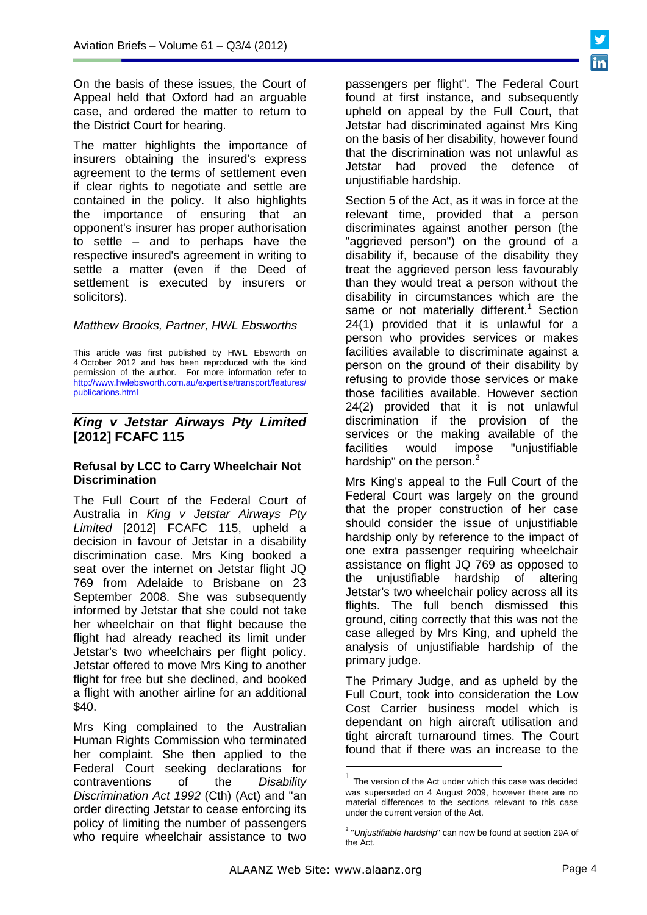On the basis of these issues, the Court of Appeal held that Oxford had an arguable case, and ordered the matter to return to the District Court for hearing.

The matter highlights the importance of insurers obtaining the insured's express agreement to the terms of settlement even if clear rights to negotiate and settle are contained in the policy. It also highlights the importance of ensuring that an opponent's insurer has proper authorisation to settle – and to perhaps have the respective insured's agreement in writing to settle a matter (even if the Deed of settlement is executed by insurers or solicitors).

# *Matthew Brooks, Partner, HWL Ebsworths*

This article was first published by HWL Ebsworth on 4 October 2012 and has been reproduced with the kind permission of the author. For more information refer to [http://www.hwlebsworth.com.au/expertise/transport/features/](http://www.hwlebsworth.com.au/expertise/transport/features/publications.html) [publications.html](http://www.hwlebsworth.com.au/expertise/transport/features/publications.html) 

# *King v Jetstar Airways Pty Limited*  **[2012] FCAFC 115**

### **Refusal by LCC to Carry Wheelchair Not Discrimination**

The Full Court of the Federal Court of Australia in *King v Jetstar Airways Pty Limited* [2012] FCAFC 115, upheld a decision in favour of Jetstar in a disability discrimination case. Mrs King booked a seat over the internet on Jetstar flight JQ 769 from Adelaide to Brisbane on 23 September 2008. She was subsequently informed by Jetstar that she could not take her wheelchair on that flight because the flight had already reached its limit under Jetstar's two wheelchairs per flight policy. Jetstar offered to move Mrs King to another flight for free but she declined, and booked a flight with another airline for an additional \$40.

Mrs King complained to the Australian Human Rights Commission who terminated her complaint. She then applied to the Federal Court seeking declarations for contraventions of the *Disability Discrimination Act 1992* (Cth) (Act) and "an order directing Jetstar to cease enforcing its policy of limiting the number of passengers who require wheelchair assistance to two

passengers per flight". The Federal Court found at first instance, and subsequently upheld on appeal by the Full Court, that Jetstar had discriminated against Mrs King on the basis of her disability, however found that the discrimination was not unlawful as Jetstar had proved the defence of unjustifiable hardship.

Section 5 of the Act, as it was in force at the relevant time, provided that a person discriminates against another person (the "aggrieved person") on the ground of a disability if, because of the disability they treat the aggrieved person less favourably than they would treat a person without the disability in circumstances which are the same or not materially different.<sup>1</sup> Section 24(1) provided that it is unlawful for a person who provides services or makes facilities available to discriminate against a person on the ground of their disability by refusing to provide those services or make those facilities available. However section 24(2) provided that it is not unlawful discrimination if the provision of the services or the making available of the facilities would impose "unjustifiable hardship" on the person.<sup>2</sup>

Mrs King's appeal to the Full Court of the Federal Court was largely on the ground that the proper construction of her case should consider the issue of unjustifiable hardship only by reference to the impact of one extra passenger requiring wheelchair assistance on flight JQ 769 as opposed to the unjustifiable hardship of altering Jetstar's two wheelchair policy across all its flights. The full bench dismissed this ground, citing correctly that this was not the case alleged by Mrs King, and upheld the analysis of unjustifiable hardship of the primary judge.

The Primary Judge, and as upheld by the Full Court, took into consideration the Low Cost Carrier business model which is dependant on high aircraft utilisation and tight aircraft turnaround times. The Court found that if there was an increase to the

<u>.</u>

<sup>1</sup> The version of the Act under which this case was decided was superseded on 4 August 2009, however there are no material differences to the sections relevant to this case under the current version of the Act.

<sup>2</sup> "*Unjustifiable hardship*" can now be found at section 29A of the Act.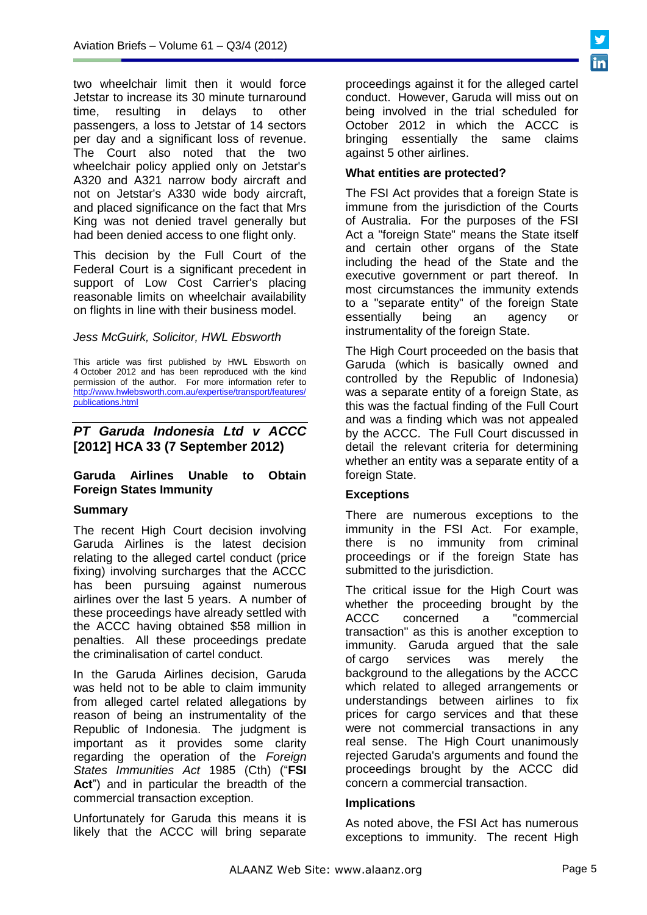two wheelchair limit then it would force Jetstar to increase its 30 minute turnaround time, resulting in delays to other passengers, a loss to Jetstar of 14 sectors per day and a significant loss of revenue. The Court also noted that the two wheelchair policy applied only on Jetstar's A320 and A321 narrow body aircraft and not on Jetstar's A330 wide body aircraft, and placed significance on the fact that Mrs King was not denied travel generally but had been denied access to one flight only.

This decision by the Full Court of the Federal Court is a significant precedent in support of Low Cost Carrier's placing reasonable limits on wheelchair availability on flights in line with their business model.

## *Jess McGuirk, Solicitor, HWL Ebsworth*

This article was first published by HWL Ebsworth on 4 October 2012 and has been reproduced with the kind permission of the author. For more information refer to [http://www.hwlebsworth.com.au/expertise/transport/features/](http://www.hwlebsworth.com.au/expertise/transport/features/publications.html) [publications.html](http://www.hwlebsworth.com.au/expertise/transport/features/publications.html) 

# *[PT Garuda Indonesia Ltd v ACCC](http://www.austlii.edu.au/cgi-bin/disp.pl/au/cases/cth/HCA/2012/33.html?stem=0&synonyms=0&query=garuda%20)* **[\[2012\] HCA 33 \(7 September 2012\)](http://www.austlii.edu.au/cgi-bin/disp.pl/au/cases/cth/HCA/2012/33.html?stem=0&synonyms=0&query=garuda%20)**

# **Garuda Airlines Unable to Obtain Foreign States Immunity**

## **Summary**

The recent High Court decision involving Garuda Airlines is the latest decision relating to the alleged cartel conduct (price fixing) involving surcharges that the ACCC has been pursuing against numerous airlines over the last 5 years. A number of these proceedings have already settled with the ACCC having obtained \$58 million in penalties. All these proceedings predate the criminalisation of cartel conduct.

In the Garuda Airlines decision, Garuda was held not to be able to claim immunity from alleged cartel related allegations by reason of being an instrumentality of the Republic of Indonesia. The judgment is important as it provides some clarity regarding the operation of the *Foreign States Immunities Act* 1985 (Cth) ("**FSI Act**") and in particular the breadth of the commercial transaction exception.

Unfortunately for Garuda this means it is likely that the ACCC will bring separate proceedings against it for the alleged cartel conduct. However, Garuda will miss out on being involved in the trial scheduled for October 2012 in which the ACCC is bringing essentially the same claims against 5 other airlines.

# **What entities are protected?**

The FSI Act provides that a foreign State is immune from the jurisdiction of the Courts of Australia. For the purposes of the FSI Act a "foreign State" means the State itself and certain other organs of the State including the head of the State and the executive government or part thereof. In most circumstances the immunity extends to a "separate entity" of the foreign State essentially being an agency instrumentality of the foreign State.

The High Court proceeded on the basis that Garuda (which is basically owned and controlled by the Republic of Indonesia) was a separate entity of a foreign State, as this was the factual finding of the Full Court and was a finding which was not appealed by the ACCC. The Full Court discussed in detail the relevant criteria for determining whether an entity was a separate entity of a foreign State.

## **Exceptions**

There are numerous exceptions to the immunity in the FSI Act. For example, there is no immunity from criminal proceedings or if the foreign State has submitted to the jurisdiction.

The critical issue for the High Court was whether the proceeding brought by the ACCC concerned a "commercial transaction" as this is another exception to immunity. Garuda argued that the sale of cargo services was merely the background to the allegations by the ACCC which related to alleged arrangements or understandings between airlines to fix prices for cargo services and that these were not commercial transactions in any real sense. The High Court unanimously rejected Garuda's arguments and found the proceedings brought by the ACCC did concern a commercial transaction.

## **Implications**

As noted above, the FSI Act has numerous exceptions to immunity. The recent High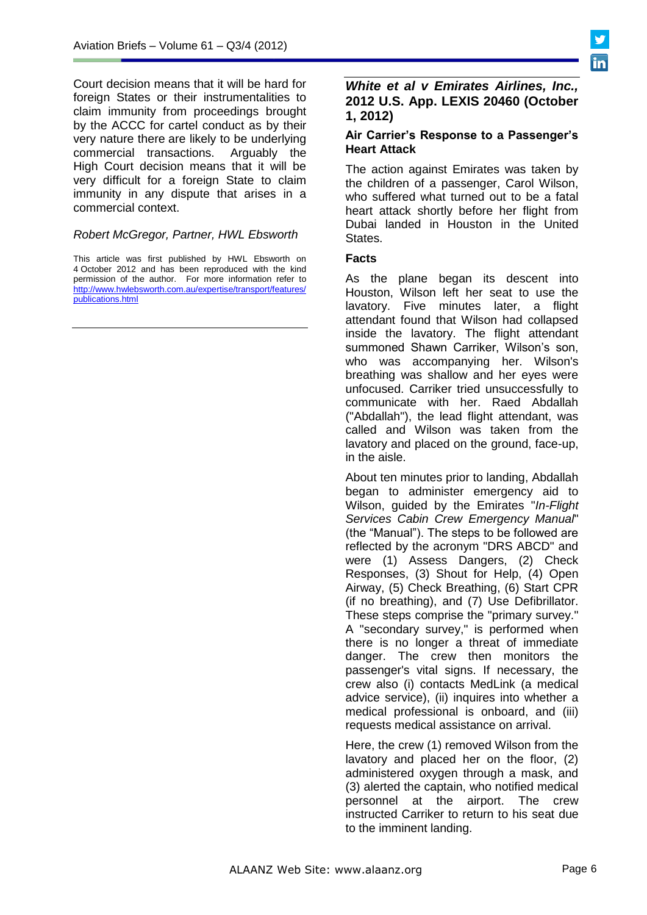Court decision means that it will be hard for foreign States or their instrumentalities to claim immunity from proceedings brought by the ACCC for cartel conduct as by their very nature there are likely to be underlying commercial transactions. Arguably the High Court decision means that it will be very difficult for a foreign State to claim immunity in any dispute that arises in a commercial context.

### *Robert McGregor, Partner, HWL Ebsworth*

This article was first published by HWL Ebsworth on 4 October 2012 and has been reproduced with the kind permission of the author. For more information refer to [http://www.hwlebsworth.com.au/expertise/transport/features/](http://www.hwlebsworth.com.au/expertise/transport/features/publications.html) [publications.html](http://www.hwlebsworth.com.au/expertise/transport/features/publications.html) 

## *White et al v Emirates Airlines, Inc.,* **2012 U.S. App. LEXIS 20460 (October 1, 2012)**

### **Air Carrier's Response to a Passenger's Heart Attack**

The action against Emirates was taken by the children of a passenger, Carol Wilson, who suffered what turned out to be a fatal heart attack shortly before her flight from Dubai landed in Houston in the United States.

### **Facts**

As the plane began its descent into Houston, Wilson left her seat to use the lavatory. Five minutes later, a flight attendant found that Wilson had collapsed inside the lavatory. The flight attendant summoned Shawn Carriker, Wilson's son, who was accompanying her. Wilson's breathing was shallow and her eyes were unfocused. Carriker tried unsuccessfully to communicate with her. Raed Abdallah ("Abdallah"), the lead flight attendant, was called and Wilson was taken from the lavatory and placed on the ground, face-up, in the aisle.

About ten minutes prior to landing, Abdallah began to administer emergency aid to Wilson, guided by the Emirates "*In-Flight Services Cabin Crew Emergency Manual*" (the "Manual"). The steps to be followed are reflected by the acronym "DRS ABCD" and were (1) Assess Dangers, (2) Check Responses, (3) Shout for Help, (4) Open Airway, (5) Check Breathing, (6) Start CPR (if no breathing), and (7) Use Defibrillator. These steps comprise the "primary survey." A "secondary survey," is performed when there is no longer a threat of immediate danger. The crew then monitors the passenger's vital signs. If necessary, the crew also (i) contacts MedLink (a medical advice service), (ii) inquires into whether a medical professional is onboard, and (iii) requests medical assistance on arrival.

Here, the crew (1) removed Wilson from the lavatory and placed her on the floor, (2) administered oxygen through a mask, and (3) alerted the captain, who notified medical personnel at the airport. The crew instructed Carriker to return to his seat due to the imminent landing.

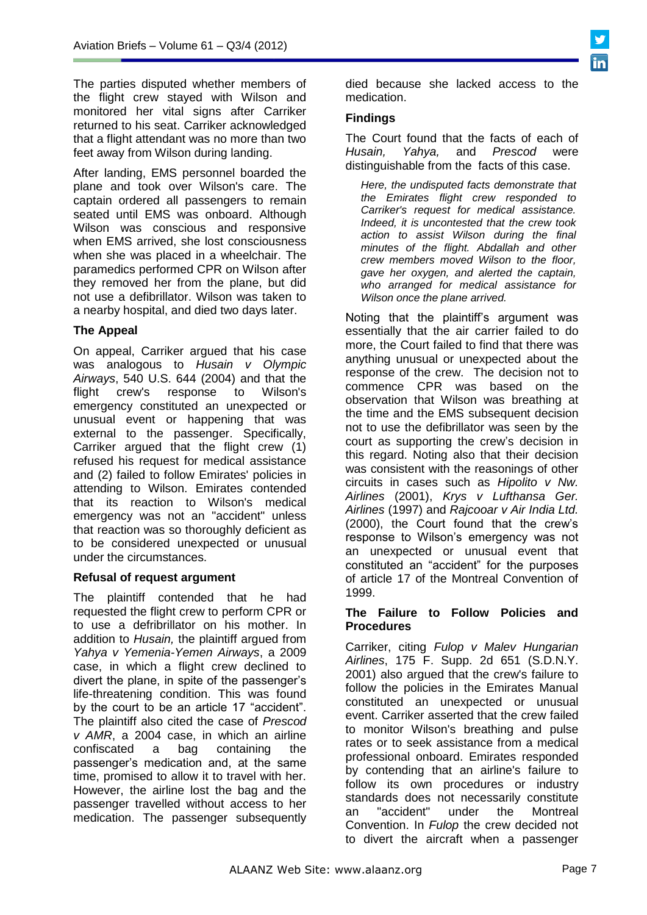The parties disputed whether members of the flight crew stayed with Wilson and monitored her vital signs after Carriker returned to his seat. Carriker acknowledged that a flight attendant was no more than two feet away from Wilson during landing.

After landing, EMS personnel boarded the plane and took over Wilson's care. The captain ordered all passengers to remain seated until EMS was onboard. Although Wilson was conscious and responsive when EMS arrived, she lost consciousness when she was placed in a wheelchair. The paramedics performed CPR on Wilson after they removed her from the plane, but did not use a defibrillator. Wilson was taken to a nearby hospital, and died two days later.

# **The Appeal**

On appeal, Carriker argued that his case was analogous to *Husain v Olympic Airways*, 540 U.S. 644 (2004) and that the flight crew's response to Wilson's emergency constituted an unexpected or unusual event or happening that was external to the passenger. Specifically, Carriker argued that the flight crew (1) refused his request for medical assistance and (2) failed to follow Emirates' policies in attending to Wilson. Emirates contended that its reaction to Wilson's medical emergency was not an "accident" unless that reaction was so thoroughly deficient as to be considered unexpected or unusual under the circumstances.

## **Refusal of request argument**

The plaintiff contended that he had requested the flight crew to perform CPR or to use a defribrillator on his mother. In addition to *Husain,* the plaintiff argued from *Yahya v Yemenia-Yemen Airways*, a 2009 case, in which a flight crew declined to divert the plane, in spite of the passenger's life-threatening condition. This was found by the court to be an article 17 "accident". The plaintiff also cited the case of *Prescod v AMR*, a 2004 case, in which an airline confiscated a bag containing the passenger's medication and, at the same time, promised to allow it to travel with her. However, the airline lost the bag and the passenger travelled without access to her medication. The passenger subsequently

died because she lacked access to the medication.

# **Findings**

The Court found that the facts of each of *Husain, Yahya,* and *Prescod* were distinguishable from the facts of this case.

*Here, the undisputed facts demonstrate that the Emirates flight crew responded to Carriker's request for medical assistance. Indeed, it is uncontested that the crew took action to assist Wilson during the final minutes of the flight. Abdallah and other crew members moved Wilson to the floor, gave her oxygen, and alerted the captain, who arranged for medical assistance for Wilson once the plane arrived.*

Noting that the plaintiff's argument was essentially that the air carrier failed to do more, the Court failed to find that there was anything unusual or unexpected about the response of the crew. The decision not to commence CPR was based on the observation that Wilson was breathing at the time and the EMS subsequent decision not to use the defibrillator was seen by the court as supporting the crew's decision in this regard. Noting also that their decision was consistent with the reasonings of other circuits in cases such as *Hipolito v Nw. Airlines* (2001), *Krys v Lufthansa Ger. Airlines* (1997) and *Rajcooar v Air India Ltd.* (2000), the Court found that the crew's response to Wilson's emergency was not an unexpected or unusual event that constituted an "accident" for the purposes of article 17 of the Montreal Convention of 1999.

## **The Failure to Follow Policies and Procedures**

Carriker, citing *Fulop v Malev Hungarian Airlines*, 175 F. Supp. 2d 651 (S.D.N.Y. 2001) also argued that the crew's failure to follow the policies in the Emirates Manual constituted an unexpected or unusual event. Carriker asserted that the crew failed to monitor Wilson's breathing and pulse rates or to seek assistance from a medical professional onboard. Emirates responded by contending that an airline's failure to follow its own procedures or industry standards does not necessarily constitute an "accident" under the Montreal Convention. In *Fulop* the crew decided not to divert the aircraft when a passenger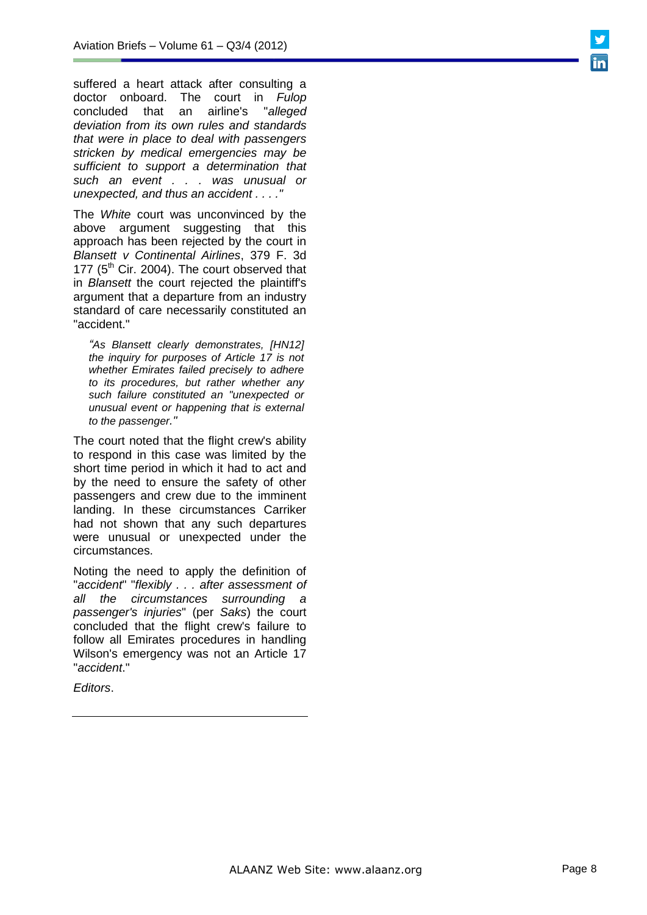suffered a heart attack after consulting a doctor onboard. The court in *Fulop* concluded that an airline's "*alleged deviation from its own rules and standards that were in place to deal with passengers stricken by medical emergencies may be sufficient to support a determination that such an event . . . was unusual or unexpected, and thus an accident . . . ."*

The *White* court was unconvinced by the above argument suggesting that this approach has been rejected by the court in *Blansett v Continental Airlines*, 379 F. 3d 177 ( $5<sup>th</sup>$  Cir. 2004). The court observed that in *Blansett* the court rejected the plaintiff's argument that a departure from an industry standard of care necessarily constituted an "accident."

*"As Blansett clearly demonstrates, [HN12] the inquiry for purposes of Article 17 is not whether Emirates failed precisely to adhere to its procedures, but rather whether any such failure constituted an "unexpected or unusual event or happening that is external to the passenger."*

The court noted that the flight crew's ability to respond in this case was limited by the short time period in which it had to act and by the need to ensure the safety of other passengers and crew due to the imminent landing. In these circumstances Carriker had not shown that any such departures were unusual or unexpected under the circumstances.

Noting the need to apply the definition of "*accident*" "*flexibly . . . after assessment of all the circumstances surrounding a passenger's injuries*" (per *Saks*) the court concluded that the flight crew's failure to follow all Emirates procedures in handling Wilson's emergency was not an Article 17 "*accident*."

*Editors*.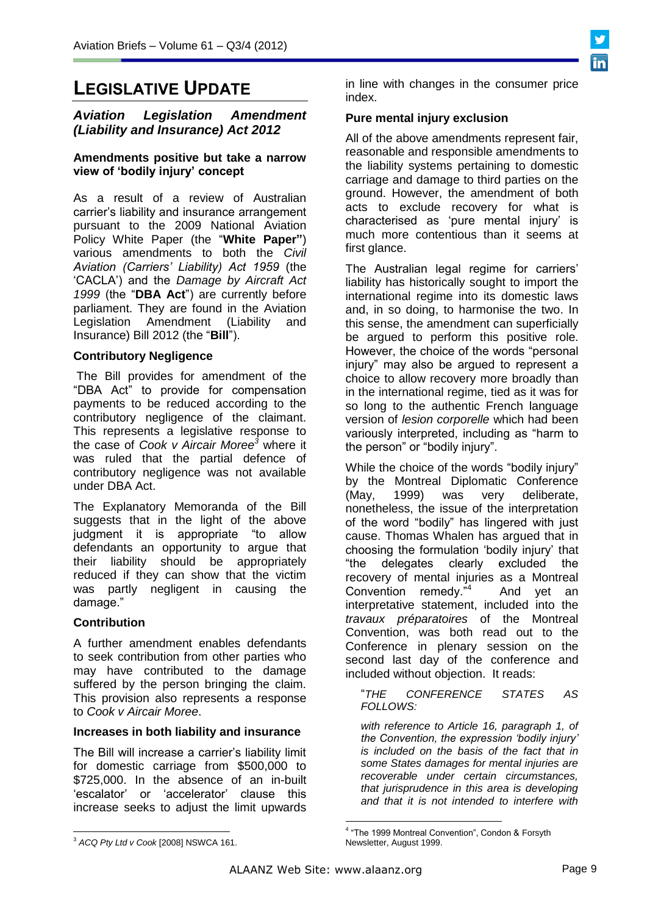

## *Aviation Legislation Amendment (Liability and Insurance) Act 2012*

### **Amendments positive but take a narrow view of 'bodily injury' concept**

As a result of a review of Australian carrier's liability and insurance arrangement pursuant to the 2009 National Aviation Policy White Paper (the "**White Paper"**) various amendments to both the *Civil Aviation (Carriers' Liability) Act 1959* (the 'CACLA') and the *Damage by Aircraft Act 1999* (the "**DBA Act**") are currently before parliament. They are found in the Aviation Legislation Amendment (Liability and Insurance) Bill 2012 (the "**Bill**").

## **Contributory Negligence**

The Bill provides for amendment of the "DBA Act" to provide for compensation payments to be reduced according to the contributory negligence of the claimant. This represents a legislative response to the case of *Cook v Aircair Moree<sup>3</sup>* where it was ruled that the partial defence of contributory negligence was not available under DBA Act.

The Explanatory Memoranda of the Bill suggests that in the light of the above judgment it is appropriate "to allow defendants an opportunity to argue that their liability should be appropriately reduced if they can show that the victim was partly negligent in causing the damage."

## **Contribution**

A further amendment enables defendants to seek contribution from other parties who may have contributed to the damage suffered by the person bringing the claim. This provision also represents a response to *Cook v Aircair Moree*.

#### **Increases in both liability and insurance**

The Bill will increase a carrier's liability limit for domestic carriage from \$500,000 to \$725,000. In the absence of an in-built 'escalator' or 'accelerator' clause this increase seeks to adjust the limit upwards

in line with changes in the consumer price index.

## **Pure mental injury exclusion**

All of the above amendments represent fair, reasonable and responsible amendments to the liability systems pertaining to domestic carriage and damage to third parties on the ground. However, the amendment of both acts to exclude recovery for what is characterised as 'pure mental injury' is much more contentious than it seems at first glance.

The Australian legal regime for carriers' liability has historically sought to import the international regime into its domestic laws and, in so doing, to harmonise the two. In this sense, the amendment can superficially be argued to perform this positive role. However, the choice of the words "personal injury" may also be argued to represent a choice to allow recovery more broadly than in the international regime, tied as it was for so long to the authentic French language version of *lesion corporelle* which had been variously interpreted, including as "harm to the person" or "bodily injury".

While the choice of the words "bodily injury" by the Montreal Diplomatic Conference (May, 1999) was very deliberate, nonetheless, the issue of the interpretation of the word "bodily" has lingered with just cause. Thomas Whalen has argued that in choosing the formulation 'bodily injury' that "the delegates clearly excluded the recovery of mental injuries as a Montreal Convention remedy."<sup>4</sup> And yet an interpretative statement, included into the *travaux préparatoires* of the Montreal Convention, was both read out to the Conference in plenary session on the second last day of the conference and included without objection. It reads:

"*THE CONFERENCE STATES AS FOLLOWS:*

*with reference to Article 16, paragraph 1, of the Convention, the expression 'bodily injury' is included on the basis of the fact that in some States damages for mental injuries are recoverable under certain circumstances, that jurisprudence in this area is developing and that it is not intended to interfere with* 

<u>.</u>



 <sup>3</sup> *ACQ Pty Ltd v Cook* [2008] NSWCA 161.

<sup>&</sup>lt;sup>4</sup> "The 1999 Montreal Convention", Condon & Forsyth Newsletter, August 1999.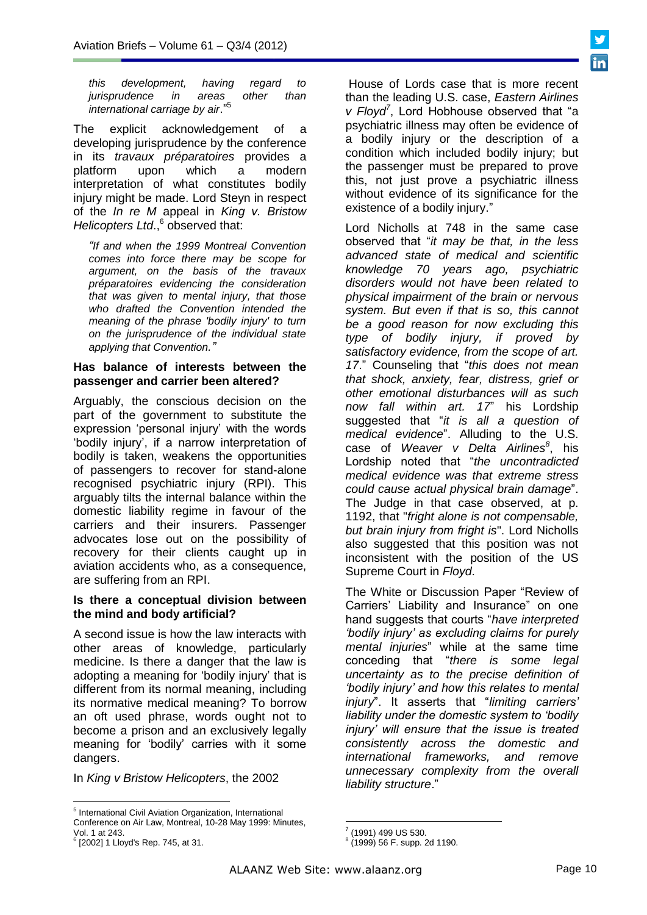*this development, having regard to jurisprudence in areas other than international carriage by air*." 5

The explicit acknowledgement of a developing jurisprudence by the conference in its *travaux préparatoires* provides a platform upon which a modern interpretation of what constitutes bodily injury might be made. Lord Steyn in respect of the *In re M* appeal in *King v. Bristow*  Helicopters Ltd.,<sup>6</sup> observed that:

*"If and when the 1999 Montreal Convention comes into force there may be scope for argument, on the basis of the travaux préparatoires evidencing the consideration that was given to mental injury, that those who drafted the Convention intended the meaning of the phrase 'bodily injury' to turn on the jurisprudence of the individual state applying that Convention."*

### **Has balance of interests between the passenger and carrier been altered?**

Arguably, the conscious decision on the part of the government to substitute the expression 'personal injury' with the words 'bodily injury', if a narrow interpretation of bodily is taken, weakens the opportunities of passengers to recover for stand-alone recognised psychiatric injury (RPI). This arguably tilts the internal balance within the domestic liability regime in favour of the carriers and their insurers. Passenger advocates lose out on the possibility of recovery for their clients caught up in aviation accidents who, as a consequence, are suffering from an RPI.

### **Is there a conceptual division between the mind and body artificial?**

A second issue is how the law interacts with other areas of knowledge, particularly medicine. Is there a danger that the law is adopting a meaning for 'bodily injury' that is different from its normal meaning, including its normative medical meaning? To borrow an oft used phrase, words ought not to become a prison and an exclusively legally meaning for 'bodily' carries with it some dangers.

In *King v Bristow Helicopters*, the 2002

6 [2002] 1 Lloyd's Rep. 745, at 31.

 $\overline{a}$ 

House of Lords case that is more recent than the leading U.S. case, *Eastern Airlines v Floyd<sup>7</sup>* , Lord Hobhouse observed that "a psychiatric illness may often be evidence of a bodily injury or the description of a condition which included bodily injury; but the passenger must be prepared to prove this, not just prove a psychiatric illness without evidence of its significance for the existence of a bodily injury."

Lord Nicholls at 748 in the same case observed that "*it may be that, in the less advanced state of medical and scientific knowledge 70 years ago, psychiatric disorders would not have been related to physical impairment of the brain or nervous system. But even if that is so, this cannot be a good reason for now excluding this type of bodily injury, if proved by satisfactory evidence, from the scope of art. 17*." Counseling that "*this does not mean that shock, anxiety, fear, distress, grief or other emotional disturbances will as such now fall within art. 17*" his Lordship suggested that "*it is all a question of medical evidence*". Alluding to the U.S. case of *Weaver v Delta Airlines<sup>8</sup>* , his Lordship noted that "*the uncontradicted medical evidence was that extreme stress could cause actual physical brain damage*". The Judge in that case observed, at p. 1192, that "*fright alone is not compensable, but brain injury from fright is*". Lord Nicholls also suggested that this position was not inconsistent with the position of the US Supreme Court in *Floyd*.

The White or Discussion Paper "Review of Carriers' Liability and Insurance" on one hand suggests that courts "*have interpreted 'bodily injury' as excluding claims for purely mental injuries*" while at the same time conceding that "*there is some legal uncertainty as to the precise definition of 'bodily injury' and how this relates to mental injury*". It asserts that "*limiting carriers' liability under the domestic system to 'bodily injury' will ensure that the issue is treated consistently across the domestic and international frameworks, and remove unnecessary complexity from the overall liability structure*."

<sup>&</sup>lt;sup>5</sup> International Civil Aviation Organization, International Conference on Air Law, Montreal, 10-28 May 1999: Minutes, Vol. 1 at 243.

 7 (1991) 499 US 530.

<sup>8</sup> (1999) 56 F. supp. 2d 1190.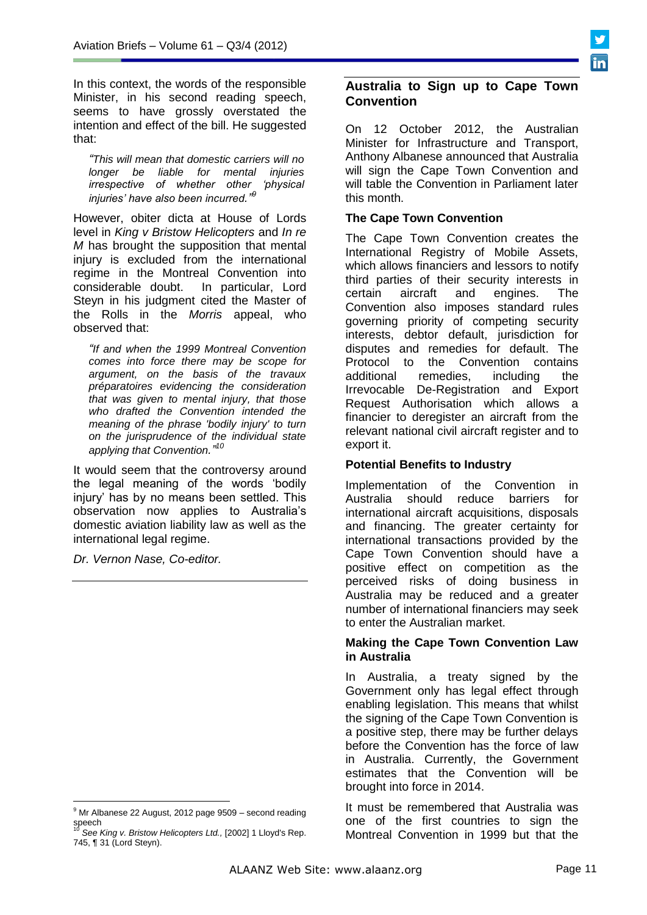In this context, the words of the responsible Minister, in his second reading speech, seems to have grossly overstated the intention and effect of the bill. He suggested that:

*"This will mean that domestic carriers will no longer be liable for mental injuries irrespective of whether other 'physical injuries' have also been incurred." 9*

However, obiter dicta at House of Lords level in *King v Bristow Helicopters* and *In re M* has brought the supposition that mental injury is excluded from the international regime in the Montreal Convention into considerable doubt. In particular, Lord Steyn in his judgment cited the Master of the Rolls in the *Morris* appeal, who observed that:

*"If and when the 1999 Montreal Convention comes into force there may be scope for argument, on the basis of the travaux préparatoires evidencing the consideration that was given to mental injury, that those who drafted the Convention intended the meaning of the phrase 'bodily injury' to turn on the jurisprudence of the individual state applying that Convention." 10*

It would seem that the controversy around the legal meaning of the words 'bodily injury' has by no means been settled. This observation now applies to Australia's domestic aviation liability law as well as the international legal regime.

*Dr. Vernon Nase, Co-editor.*

# **Australia to Sign up to Cape Town Convention**

On 12 October 2012, the Australian Minister for Infrastructure and Transport, Anthony Albanese announced that Australia will sign the Cape Town Convention and will table the Convention in Parliament later this month.

# **The Cape Town Convention**

The Cape Town Convention creates the International Registry of Mobile Assets, which allows financiers and lessors to notify third parties of their security interests in certain aircraft and engines. The Convention also imposes standard rules governing priority of competing security interests, debtor default, jurisdiction for disputes and remedies for default. The Protocol to the Convention contains<br>additional remedies, including the additional remedies, including the Irrevocable De-Registration and Export Request Authorisation which allows a financier to deregister an aircraft from the relevant national civil aircraft register and to export it.

# **Potential Benefits to Industry**

Implementation of the Convention in Australia should reduce barriers for international aircraft acquisitions, disposals and financing. The greater certainty for international transactions provided by the Cape Town Convention should have a positive effect on competition as the perceived risks of doing business in Australia may be reduced and a greater number of international financiers may seek to enter the Australian market.

# **Making the Cape Town Convention Law in Australia**

In Australia, a treaty signed by the Government only has legal effect through enabling legislation. This means that whilst the signing of the Cape Town Convention is a positive step, there may be further delays before the Convention has the force of law in Australia. Currently, the Government estimates that the Convention will be brought into force in 2014.

It must be remembered that Australia was one of the first countries to sign the Montreal Convention in 1999 but that the

 $\overline{a}$ <sup>9</sup> Mr Albanese 22 August, 2012 page 9509 - second reading

speech <sup>10</sup> *See King v. Bristow Helicopters Ltd.,* [2002] 1 Lloyd's Rep. 745, ¶ 31 (Lord Steyn).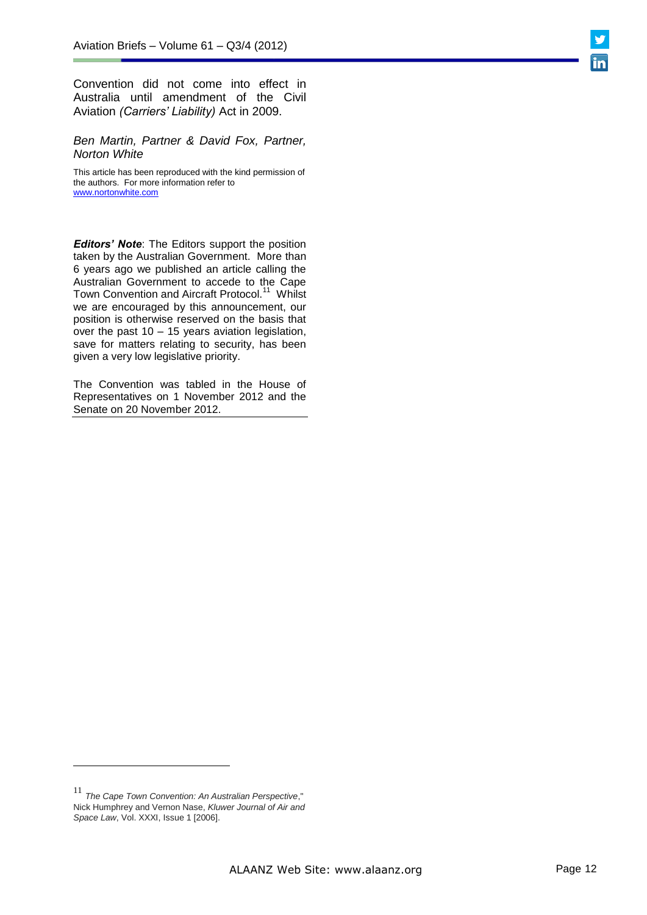Convention did not come into effect in Australia until amendment of the Civil Aviation *(Carriers' Liability)* Act in 2009.

*Ben Martin, Partner & David Fox, Partner, Norton White*

This article has been reproduced with the kind permission of the authors. For more information refer to [www.nortonwhite.com](http://www.nortonwhite.com/)

*Editors' Note*: The Editors support the position taken by the Australian Government. More than 6 years ago we published an article calling the Australian Government to accede to the Cape Town Convention and Aircraft Protocol.<sup>11</sup> Whilst we are encouraged by this announcement, our position is otherwise reserved on the basis that over the past 10 – 15 years aviation legislation, save for matters relating to security, has been given a very low legislative priority.

The Convention was tabled in the House of Representatives on 1 November 2012 and the Senate on 20 November 2012.

<sup>11</sup> *The Cape Town Convention: An Australian Perspective*," Nick Humphrey and Vernon Nase, *Kluwer Journal of Air and* 

 $\overline{a}$ 

*Space Law*, Vol. XXXI, Issue 1 [2006].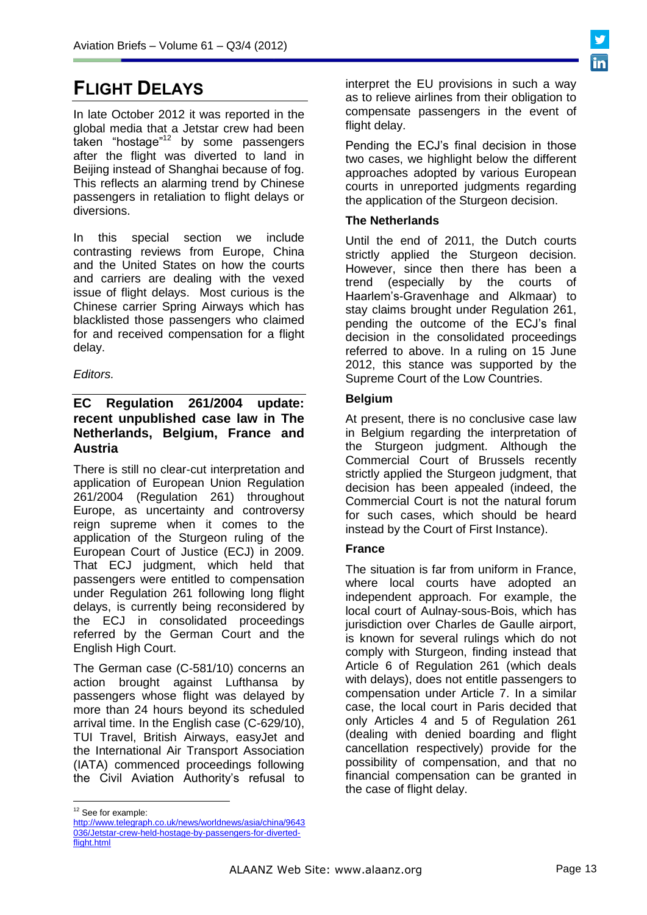# **FLIGHT DELAYS**

In late October 2012 it was reported in the global media that a Jetstar crew had been taken "hostage"<sup>12</sup> by some passengers after the flight was diverted to land in Beijing instead of Shanghai because of fog. This reflects an alarming trend by Chinese passengers in retaliation to flight delays or diversions.

In this special section we include contrasting reviews from Europe, China and the United States on how the courts and carriers are dealing with the vexed issue of flight delays. Most curious is the Chinese carrier Spring Airways which has blacklisted those passengers who claimed for and received compensation for a flight delay.

*Editors.*

# **EC Regulation 261/2004 update: recent unpublished case law in The Netherlands, Belgium, France and Austria**

There is still no clear-cut interpretation and application of European Union Regulation 261/2004 (Regulation 261) throughout Europe, as uncertainty and controversy reign supreme when it comes to the application of the Sturgeon ruling of the European Court of Justice (ECJ) in 2009. That ECJ judgment, which held that passengers were entitled to compensation under Regulation 261 following long flight delays, is currently being reconsidered by the ECJ in consolidated proceedings referred by the German Court and the English High Court.

The German case (C-581/10) concerns an action brought against Lufthansa by passengers whose flight was delayed by more than 24 hours beyond its scheduled arrival time. In the English case (C-629/10), TUI Travel, British Airways, easyJet and the International Air Transport Association (IATA) commenced proceedings following the Civil Aviation Authority's refusal to interpret the EU provisions in such a way as to relieve airlines from their obligation to compensate passengers in the event of flight delay.

Pending the ECJ's final decision in those two cases, we highlight below the different approaches adopted by various European courts in unreported judgments regarding the application of the Sturgeon decision.

# **The Netherlands**

Until the end of 2011, the Dutch courts strictly applied the Sturgeon decision. However, since then there has been a trend (especially by the courts of Haarlem's-Gravenhage and Alkmaar) to stay claims brought under Regulation 261, pending the outcome of the ECJ's final decision in the consolidated proceedings referred to above. In a ruling on 15 June 2012, this stance was supported by the Supreme Court of the Low Countries.

# **Belgium**

At present, there is no conclusive case law in Belgium regarding the interpretation of the Sturgeon judgment. Although the Commercial Court of Brussels recently strictly applied the Sturgeon judgment, that decision has been appealed (indeed, the Commercial Court is not the natural forum for such cases, which should be heard instead by the Court of First Instance).

# **France**

The situation is far from uniform in France, where local courts have adopted an independent approach. For example, the local court of Aulnay-sous-Bois, which has jurisdiction over Charles de Gaulle airport, is known for several rulings which do not comply with Sturgeon, finding instead that Article 6 of Regulation 261 (which deals with delays), does not entitle passengers to compensation under Article 7. In a similar case, the local court in Paris decided that only Articles 4 and 5 of Regulation 261 (dealing with denied boarding and flight cancellation respectively) provide for the possibility of compensation, and that no financial compensation can be granted in the case of flight delay.

 $\overline{a}$ <sup>12</sup> See for example:

[http://www.telegraph.co.uk/news/worldnews/asia/china/9643](http://www.telegraph.co.uk/news/worldnews/asia/china/9643036/Jetstar-crew-held-hostage-by-passengers-for-diverted-flight.html) [036/Jetstar-crew-held-hostage-by-passengers-for-diverted](http://www.telegraph.co.uk/news/worldnews/asia/china/9643036/Jetstar-crew-held-hostage-by-passengers-for-diverted-flight.html)[flight.html](http://www.telegraph.co.uk/news/worldnews/asia/china/9643036/Jetstar-crew-held-hostage-by-passengers-for-diverted-flight.html)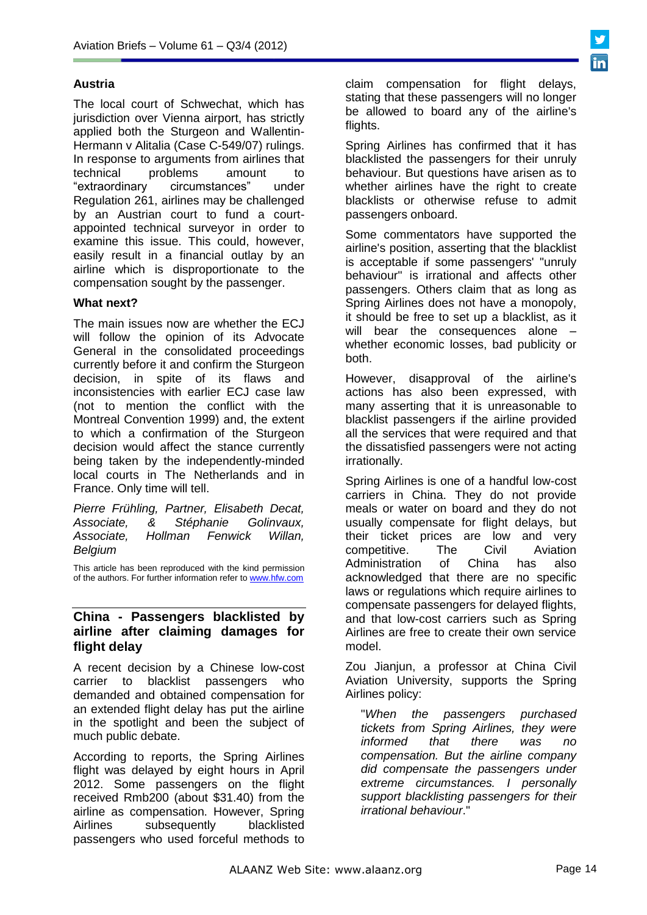# **Austria**

The local court of Schwechat, which has jurisdiction over Vienna airport, has strictly applied both the Sturgeon and Wallentin-Hermann v Alitalia (Case C-549/07) rulings. In response to arguments from airlines that technical problems amount to "extraordinary circumstances" under Regulation 261, airlines may be challenged by an Austrian court to fund a courtappointed technical surveyor in order to examine this issue. This could, however, easily result in a financial outlay by an airline which is disproportionate to the compensation sought by the passenger.

# **What next?**

The main issues now are whether the ECJ will follow the opinion of its Advocate General in the consolidated proceedings currently before it and confirm the Sturgeon decision, in spite of its flaws and inconsistencies with earlier ECJ case law (not to mention the conflict with the Montreal Convention 1999) and, the extent to which a confirmation of the Sturgeon decision would affect the stance currently being taken by the independently-minded local courts in The Netherlands and in France. Only time will tell.

*[Pierre Frühling,](http://www.hfw.com/profiles/pierre.fruhling@hfw.com) Partner, Elisabeth Decat, Associate, & Stéphanie Golinvaux, Associate, Hollman Fenwick Willan, Belgium*

This article has been reproduced with the kind permission of the authors. For further information refer to [www.hfw.com](http://www.hfw.com/)

### **China - Passengers blacklisted by airline after claiming damages for flight delay**

A recent decision by a Chinese low-cost carrier to blacklist passengers who demanded and obtained compensation for an extended flight delay has put the airline in the spotlight and been the subject of much public debate.

According to reports, the Spring Airlines flight was delayed by eight hours in April 2012. Some passengers on the flight received Rmb200 (about \$31.40) from the airline as compensation. However, Spring Airlines subsequently blacklisted passengers who used forceful methods to

claim compensation for flight delays, stating that these passengers will no longer be allowed to board any of the airline's flights.

Spring Airlines has confirmed that it has blacklisted the passengers for their unruly behaviour. But questions have arisen as to whether airlines have the right to create blacklists or otherwise refuse to admit passengers onboard.

Some commentators have supported the airline's position, asserting that the blacklist is acceptable if some passengers' "unruly behaviour" is irrational and affects other passengers. Others claim that as long as Spring Airlines does not have a monopoly, it should be free to set up a blacklist, as it will bear the consequences alone whether economic losses, bad publicity or both.

However, disapproval of the airline's actions has also been expressed, with many asserting that it is unreasonable to blacklist passengers if the airline provided all the services that were required and that the dissatisfied passengers were not acting irrationally.

Spring Airlines is one of a handful low-cost carriers in China. They do not provide meals or water on board and they do not usually compensate for flight delays, but their ticket prices are low and very competitive. The Civil Aviation Administration of China has also acknowledged that there are no specific laws or regulations which require airlines to compensate passengers for delayed flights, and that low-cost carriers such as Spring Airlines are free to create their own service model.

Zou Jianjun, a professor at China Civil Aviation University, supports the Spring Airlines policy:

"*When the passengers purchased tickets from Spring Airlines, they were informed that there was no compensation. But the airline company did compensate the passengers under extreme circumstances. I personally support blacklisting passengers for their irrational behaviour*."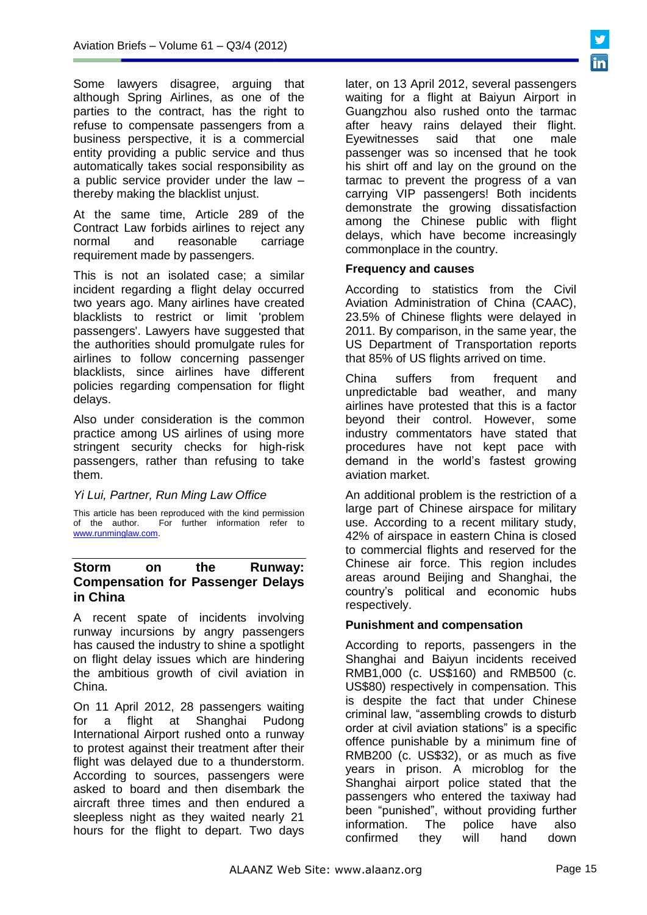Some lawyers disagree, arguing that although Spring Airlines, as one of the parties to the contract, has the right to refuse to compensate passengers from a business perspective, it is a commercial entity providing a public service and thus automatically takes social responsibility as a public service provider under the law – thereby making the blacklist unjust.

At the same time, Article 289 of the Contract Law forbids airlines to reject any normal and reasonable carriage requirement made by passengers.

This is not an isolated case; a similar incident regarding a flight delay occurred two years ago. Many airlines have created blacklists to restrict or limit 'problem passengers'. Lawyers have suggested that the authorities should promulgate rules for airlines to follow concerning passenger blacklists, since airlines have different policies regarding compensation for flight delays.

Also under consideration is the common practice among US airlines of using more stringent security checks for high-risk passengers, rather than refusing to take them.

#### *Yi Lui, Partner, Run Ming Law Office*

This article has been reproduced with the kind permission of the author. For further information refer to [www.runminglaw.com.](http://www.runminglaw.com/) 

# **Storm on the Runway: Compensation for Passenger Delays in China**

A recent spate of incidents involving runway incursions by angry passengers has caused the industry to shine a spotlight on flight delay issues which are hindering the ambitious growth of civil aviation in China.

On 11 April 2012, 28 passengers waiting for a flight at Shanghai Pudong International Airport rushed onto a runway to protest against their treatment after their flight was delayed due to a thunderstorm. According to sources, passengers were asked to board and then disembark the aircraft three times and then endured a sleepless night as they waited nearly 21 hours for the flight to depart. Two days

later, on 13 April 2012, several passengers waiting for a flight at Baiyun Airport in Guangzhou also rushed onto the tarmac after heavy rains delayed their flight. Eyewitnesses said that one male passenger was so incensed that he took his shirt off and lay on the ground on the tarmac to prevent the progress of a van carrying VIP passengers! Both incidents demonstrate the growing dissatisfaction among the Chinese public with flight delays, which have become increasingly commonplace in the country.

### **Frequency and causes**

According to statistics from the Civil Aviation Administration of China (CAAC), 23.5% of Chinese flights were delayed in 2011. By comparison, in the same year, the US Department of Transportation reports that 85% of US flights arrived on time.

China suffers from frequent and unpredictable bad weather, and many airlines have protested that this is a factor beyond their control. However, some industry commentators have stated that procedures have not kept pace with demand in the world's fastest growing aviation market.

An additional problem is the restriction of a large part of Chinese airspace for military use. According to a recent military study, 42% of airspace in eastern China is closed to commercial flights and reserved for the Chinese air force. This region includes areas around Beijing and Shanghai, the country's political and economic hubs respectively.

## **Punishment and compensation**

According to reports, passengers in the Shanghai and Baiyun incidents received RMB1,000 (c. US\$160) and RMB500 (c. US\$80) respectively in compensation. This is despite the fact that under Chinese criminal law, "assembling crowds to disturb order at civil aviation stations" is a specific offence punishable by a minimum fine of RMB200 (c. US\$32), or as much as five years in prison. A microblog for the Shanghai airport police stated that the passengers who entered the taxiway had been "punished", without providing further information. The police have also confirmed they will hand down

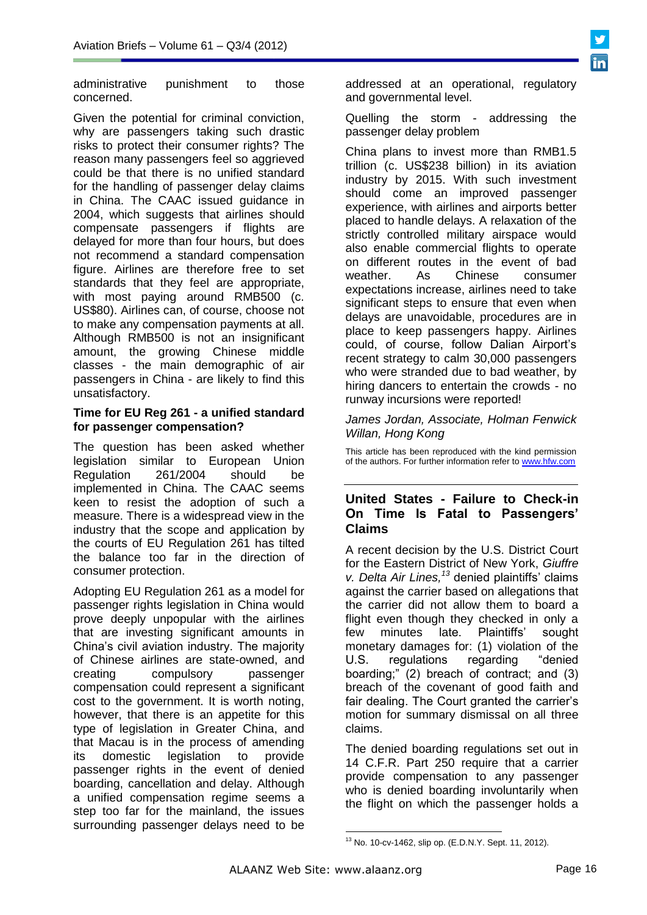

administrative punishment to those concerned.

Given the potential for criminal conviction, why are passengers taking such drastic risks to protect their consumer rights? The reason many passengers feel so aggrieved could be that there is no unified standard for the handling of passenger delay claims in China. The CAAC issued guidance in 2004, which suggests that airlines should compensate passengers if flights are delayed for more than four hours, but does not recommend a standard compensation figure. Airlines are therefore free to set standards that they feel are appropriate, with most paying around RMB500 (c. US\$80). Airlines can, of course, choose not to make any compensation payments at all. Although RMB500 is not an insignificant amount, the growing Chinese middle classes - the main demographic of air passengers in China - are likely to find this unsatisfactory.

### **Time for EU Reg 261 - a unified standard for passenger compensation?**

The question has been asked whether legislation similar to European Union Regulation 261/2004 should be implemented in China. The CAAC seems keen to resist the adoption of such a measure. There is a widespread view in the industry that the scope and application by the courts of EU Regulation 261 has tilted the balance too far in the direction of consumer protection.

Adopting EU Regulation 261 as a model for passenger rights legislation in China would prove deeply unpopular with the airlines that are investing significant amounts in China's civil aviation industry. The majority of Chinese airlines are state-owned, and creating compulsory passenger compensation could represent a significant cost to the government. It is worth noting, however, that there is an appetite for this type of legislation in Greater China, and that Macau is in the process of amending its domestic legislation to provide passenger rights in the event of denied boarding, cancellation and delay. Although a unified compensation regime seems a step too far for the mainland, the issues surrounding passenger delays need to be

addressed at an operational, regulatory and governmental level.

Quelling the storm - addressing the passenger delay problem

China plans to invest more than RMB1.5 trillion (c. US\$238 billion) in its aviation industry by 2015. With such investment should come an improved passenger experience, with airlines and airports better placed to handle delays. A relaxation of the strictly controlled military airspace would also enable commercial flights to operate on different routes in the event of bad weather. As Chinese consumer expectations increase, airlines need to take significant steps to ensure that even when delays are unavoidable, procedures are in place to keep passengers happy. Airlines could, of course, follow Dalian Airport's recent strategy to calm 30,000 passengers who were stranded due to bad weather, by hiring dancers to entertain the crowds - no runway incursions were reported!

### *[James Jordan,](http://www.hfw.com/profiles/james.jordan@hfw.com) Associate, Holman Fenwick Willan, Hong Kong*

This article has been reproduced with the kind permission of the authors. For further information refer t[o www.hfw.com](http://www.hfw.com/)

# **United States - Failure to Check-in On Time Is Fatal to Passengers' Claims**

A recent decision by the U.S. District Court for the Eastern District of New York, *Giuffre v. Delta Air Lines,<sup>13</sup>* denied plaintiffs' claims against the carrier based on allegations that the carrier did not allow them to board a flight even though they checked in only a few minutes late. Plaintiffs' sought monetary damages for: (1) violation of the U.S. regulations regarding "denied boarding;" (2) breach of contract; and (3) breach of the covenant of good faith and fair dealing. The Court granted the carrier's motion for summary dismissal on all three claims.

The denied boarding regulations set out in 14 C.F.R. Part 250 require that a carrier provide compensation to any passenger who is denied boarding involuntarily when the flight on which the passenger holds a

<sup>-</sup><sup>13</sup> No. 10-cv-1462, slip op. (E.D.N.Y. Sept. 11, 2012).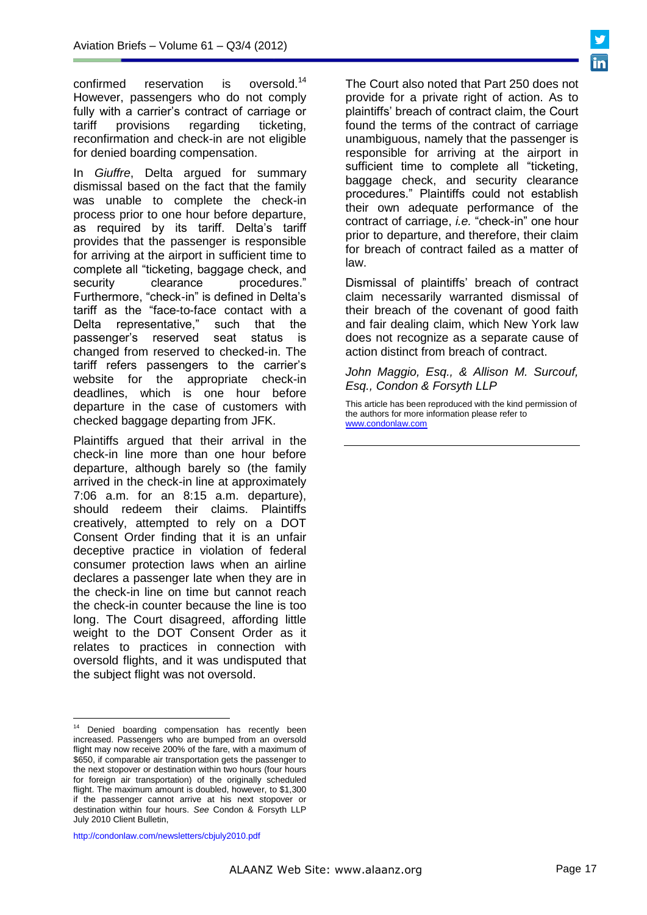confirmed reservation is oversold.<sup>14</sup> However, passengers who do not comply fully with a carrier's contract of carriage or tariff provisions regarding ticketing, reconfirmation and check-in are not eligible for denied boarding compensation.

In *Giuffre*, Delta argued for summary dismissal based on the fact that the family was unable to complete the check-in process prior to one hour before departure, as required by its tariff. Delta's tariff provides that the passenger is responsible for arriving at the airport in sufficient time to complete all "ticketing, baggage check, and security clearance procedures." Furthermore, "check-in" is defined in Delta's tariff as the "face-to-face contact with a Delta representative," such that the passenger's reserved seat status is changed from reserved to checked-in. The tariff refers passengers to the carrier's website for the appropriate check-in deadlines, which is one hour before departure in the case of customers with checked baggage departing from JFK.

Plaintiffs argued that their arrival in the check-in line more than one hour before departure, although barely so (the family arrived in the check-in line at approximately 7:06 a.m. for an 8:15 a.m. departure), should redeem their claims. Plaintiffs creatively, attempted to rely on a DOT Consent Order finding that it is an unfair deceptive practice in violation of federal consumer protection laws when an airline declares a passenger late when they are in the check-in line on time but cannot reach the check-in counter because the line is too long. The Court disagreed, affording little weight to the DOT Consent Order as it relates to practices in connection with oversold flights, and it was undisputed that the subject flight was not oversold.

http://condonlaw.com/newsletters/cbjuly2010.pdf

 $\overline{a}$ 

The Court also noted that Part 250 does not provide for a private right of action. As to plaintiffs' breach of contract claim, the Court found the terms of the contract of carriage unambiguous, namely that the passenger is responsible for arriving at the airport in sufficient time to complete all "ticketing, baggage check, and security clearance procedures." Plaintiffs could not establish their own adequate performance of the contract of carriage, *i.e.* "check-in" one hour prior to departure, and therefore, their claim for breach of contract failed as a matter of law.

Dismissal of plaintiffs' breach of contract claim necessarily warranted dismissal of their breach of the covenant of good faith and fair dealing claim, which New York law does not recognize as a separate cause of action distinct from breach of contract.

*John Maggio, Esq., & Allison M. Surcouf, Esq., Condon & Forsyth LLP*

This article has been reproduced with the kind permission of the authors for more information please refer to [www.condonlaw.com](http://www.condonlaw.com/)



<sup>&</sup>lt;sup>14</sup> Denied boarding compensation has recently been increased. Passengers who are bumped from an oversold flight may now receive 200% of the fare, with a maximum of \$650, if comparable air transportation gets the passenger to the next stopover or destination within two hours (four hours for foreign air transportation) of the originally scheduled flight. The maximum amount is doubled, however, to \$1,300 if the passenger cannot arrive at his next stopover or destination within four hours. *See* Condon & Forsyth LLP July 2010 Client Bulletin,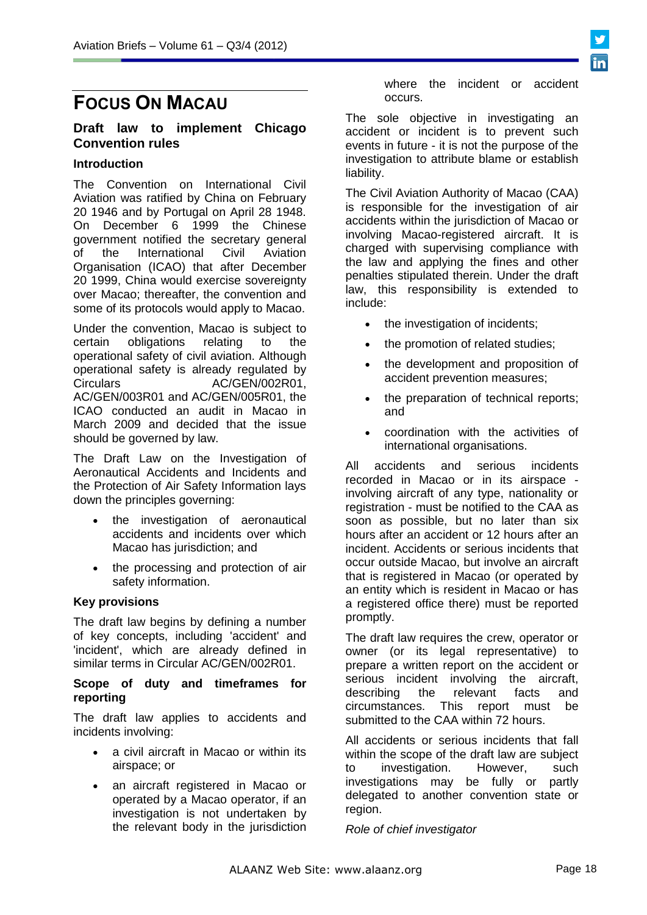# **FOCUS ON MACAU**

# **Draft law to implement Chicago Convention rules**

### **Introduction**

The Convention on International Civil Aviation was ratified by China on February 20 1946 and by Portugal on April 28 1948. On December 6 1999 the Chinese government notified the secretary general of the International Civil Aviation Organisation (ICAO) that after December 20 1999, China would exercise sovereignty over Macao; thereafter, the convention and some of its protocols would apply to Macao.

Under the convention, Macao is subject to certain obligations relating to the operational safety of civil aviation. Although operational safety is already regulated by Circulars AC/GEN/002R01, AC/GEN/003R01 and AC/GEN/005R01, the ICAO conducted an audit in Macao in March 2009 and decided that the issue should be governed by law.

The Draft Law on the Investigation of Aeronautical Accidents and Incidents and the Protection of Air Safety Information lays down the principles governing:

- the investigation of aeronautical accidents and incidents over which Macao has jurisdiction; and
- the processing and protection of air safety information.

## **Key provisions**

The draft law begins by defining a number of key concepts, including 'accident' and 'incident', which are already defined in similar terms in Circular AC/GEN/002R01.

### **Scope of duty and timeframes for reporting**

The draft law applies to accidents and incidents involving:

- a civil aircraft in Macao or within its airspace; or
- an aircraft registered in Macao or operated by a Macao operator, if an investigation is not undertaken by the relevant body in the jurisdiction

where the incident or accident occurs.

The sole objective in investigating an accident or incident is to prevent such events in future - it is not the purpose of the investigation to attribute blame or establish liability.

The Civil Aviation Authority of Macao (CAA) is responsible for the investigation of air accidents within the jurisdiction of Macao or involving Macao-registered aircraft. It is charged with supervising compliance with the law and applying the fines and other penalties stipulated therein. Under the draft law, this responsibility is extended to include:

- the investigation of incidents;
- the promotion of related studies;
- the development and proposition of accident prevention measures;
- the preparation of technical reports; and
- coordination with the activities of international organisations.

All accidents and serious incidents recorded in Macao or in its airspace involving aircraft of any type, nationality or registration - must be notified to the CAA as soon as possible, but no later than six hours after an accident or 12 hours after an incident. Accidents or serious incidents that occur outside Macao, but involve an aircraft that is registered in Macao (or operated by an entity which is resident in Macao or has a registered office there) must be reported promptly.

The draft law requires the crew, operator or owner (or its legal representative) to prepare a written report on the accident or serious incident involving the aircraft, describing the relevant facts and circumstances. This report must be submitted to the CAA within 72 hours.

All accidents or serious incidents that fall within the scope of the draft law are subject to investigation. However, such investigations may be fully or partly delegated to another convention state or region.

*Role of chief investigator*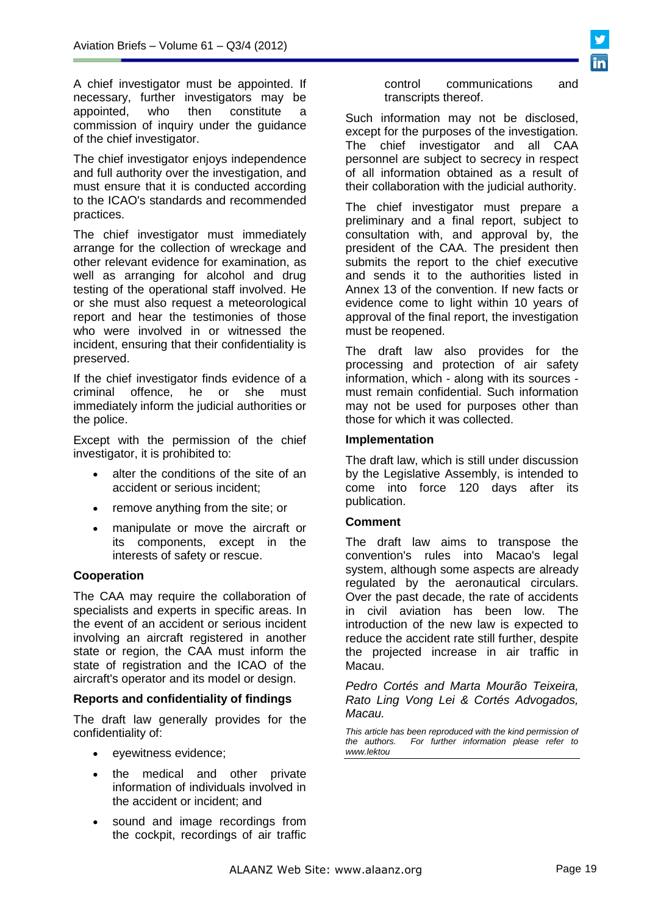A chief investigator must be appointed. If necessary, further investigators may be appointed, who then constitute a commission of inquiry under the guidance of the chief investigator.

The chief investigator enjoys independence and full authority over the investigation, and must ensure that it is conducted according to the ICAO's standards and recommended practices.

The chief investigator must immediately arrange for the collection of wreckage and other relevant evidence for examination, as well as arranging for alcohol and drug testing of the operational staff involved. He or she must also request a meteorological report and hear the testimonies of those who were involved in or witnessed the incident, ensuring that their confidentiality is preserved.

If the chief investigator finds evidence of a criminal offence, he or she must immediately inform the judicial authorities or the police.

Except with the permission of the chief investigator, it is prohibited to:

- alter the conditions of the site of an accident or serious incident;
- remove anything from the site; or
- manipulate or move the aircraft or its components, except in the interests of safety or rescue.

## **Cooperation**

The CAA may require the collaboration of specialists and experts in specific areas. In the event of an accident or serious incident involving an aircraft registered in another state or region, the CAA must inform the state of registration and the ICAO of the aircraft's operator and its model or design.

#### **Reports and confidentiality of findings**

The draft law generally provides for the confidentiality of:

- eyewitness evidence;
- the medical and other private information of individuals involved in the accident or incident; and
- sound and image recordings from the cockpit, recordings of air traffic

control communications and transcripts thereof.

Such information may not be disclosed, except for the purposes of the investigation. The chief investigator and all CAA personnel are subject to secrecy in respect of all information obtained as a result of their collaboration with the judicial authority.

The chief investigator must prepare a preliminary and a final report, subject to consultation with, and approval by, the president of the CAA. The president then submits the report to the chief executive and sends it to the authorities listed in Annex 13 of the convention. If new facts or evidence come to light within 10 years of approval of the final report, the investigation must be reopened.

The draft law also provides for the processing and protection of air safety information, which - along with its sources must remain confidential. Such information may not be used for purposes other than those for which it was collected.

### **Implementation**

The draft law, which is still under discussion by the Legislative Assembly, is intended to come into force 120 days after its publication.

## **Comment**

The draft law aims to transpose the convention's rules into Macao's legal system, although some aspects are already regulated by the aeronautical circulars. Over the past decade, the rate of accidents in civil aviation has been low. The introduction of the new law is expected to reduce the accident rate still further, despite the projected increase in air traffic in Macau.

*[Pedro Cortés](http://www.internationallawoffice.com/Directory/biography.aspx?g=89953c57-5d5c-4081-b96d-908f405eec03) and [Marta Mourão Teixeira,](http://www.internationallawoffice.com/directory/biography.aspx?r=3319457) Rato Ling Vong Lei & Cortés Advogados, Macau.*

*This article has been reproduced with the kind permission of the authors. For further information please refer to www.lektou*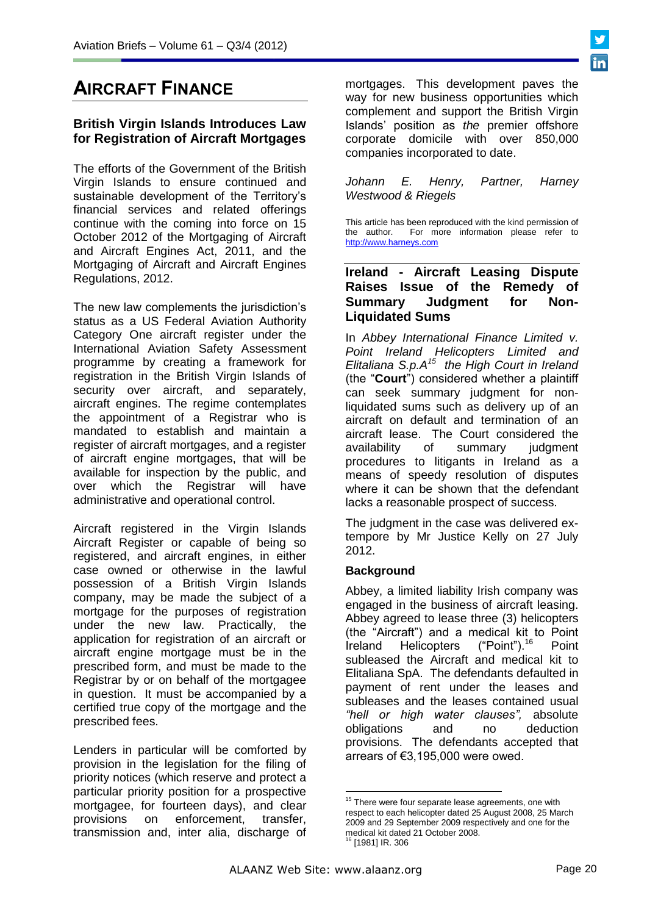# **AIRCRAFT FINANCE**

# **British Virgin Islands Introduces Law for Registration of Aircraft Mortgages**

The efforts of the Government of the British Virgin Islands to ensure continued and sustainable development of the Territory's financial services and related offerings continue with the coming into force on 15 October 2012 of the Mortgaging of Aircraft and Aircraft Engines Act, 2011, and the Mortgaging of Aircraft and Aircraft Engines Regulations, 2012.

The new law complements the jurisdiction's status as a US Federal Aviation Authority Category One aircraft register under the International Aviation Safety Assessment programme by creating a framework for registration in the British Virgin Islands of security over aircraft, and separately, aircraft engines. The regime contemplates the appointment of a Registrar who is mandated to establish and maintain a register of aircraft mortgages, and a register of aircraft engine mortgages, that will be available for inspection by the public, and over which the Registrar will have administrative and operational control.

Aircraft registered in the Virgin Islands Aircraft Register or capable of being so registered, and aircraft engines, in either case owned or otherwise in the lawful possession of a British Virgin Islands company, may be made the subject of a mortgage for the purposes of registration under the new law. Practically, the application for registration of an aircraft or aircraft engine mortgage must be in the prescribed form, and must be made to the Registrar by or on behalf of the mortgagee in question. It must be accompanied by a certified true copy of the mortgage and the prescribed fees.

Lenders in particular will be comforted by provision in the legislation for the filing of priority notices (which reserve and protect a particular priority position for a prospective mortgagee, for fourteen days), and clear provisions on enforcement, transfer, transmission and, inter alia, discharge of mortgages. This development paves the way for new business opportunities which complement and support the British Virgin Islands' position as *the* premier offshore corporate domicile with over 850,000 companies incorporated to date.

*[Johann E. Henry,](http://www.lexology.com/17898/author/Johann_E_Henry/) Partner, [Harney](http://www.lexology.com/contributors/17898/)  [Westwood & Riegels](http://www.lexology.com/contributors/17898/)*

This article has been reproduced with the kind permission of the author. For more information please refer to [http://www.harneys.com](http://www.harneys.com/)

# **Ireland - Aircraft Leasing Dispute Raises Issue of the Remedy of Summary Judgment for Non-Liquidated Sums**

In *Abbey International Finance Limited v. Point Ireland Helicopters Limited and Elitaliana S.p.A<sup>15</sup> the High Court in Ireland* (the "**Court**") considered whether a plaintiff can seek summary judgment for nonliquidated sums such as delivery up of an aircraft on default and termination of an aircraft lease. The Court considered the availability of summary judgment procedures to litigants in Ireland as a means of speedy resolution of disputes where it can be shown that the defendant lacks a reasonable prospect of success.

The judgment in the case was delivered extempore by Mr Justice Kelly on 27 July 2012.

## **Background**

Abbey, a limited liability Irish company was engaged in the business of aircraft leasing. Abbey agreed to lease three (3) helicopters (the "Aircraft") and a medical kit to Point<br>Ireland Helicopters ("Point").<sup>16</sup> Point Ireland Helicopters ("Point").<sup>16</sup> Point subleased the Aircraft and medical kit to Elitaliana SpA. The defendants defaulted in payment of rent under the leases and subleases and the leases contained usual *"hell or high water clauses",* absolute obligations and no deduction provisions. The defendants accepted that arrears of €3,195,000 were owed.

1

<sup>&</sup>lt;sup>15</sup> There were four separate lease agreements, one with respect to each helicopter dated 25 August 2008, 25 March 2009 and 29 September 2009 respectively and one for the medical kit dated 21 October 2008. <sup>16</sup> [1981] IR. 306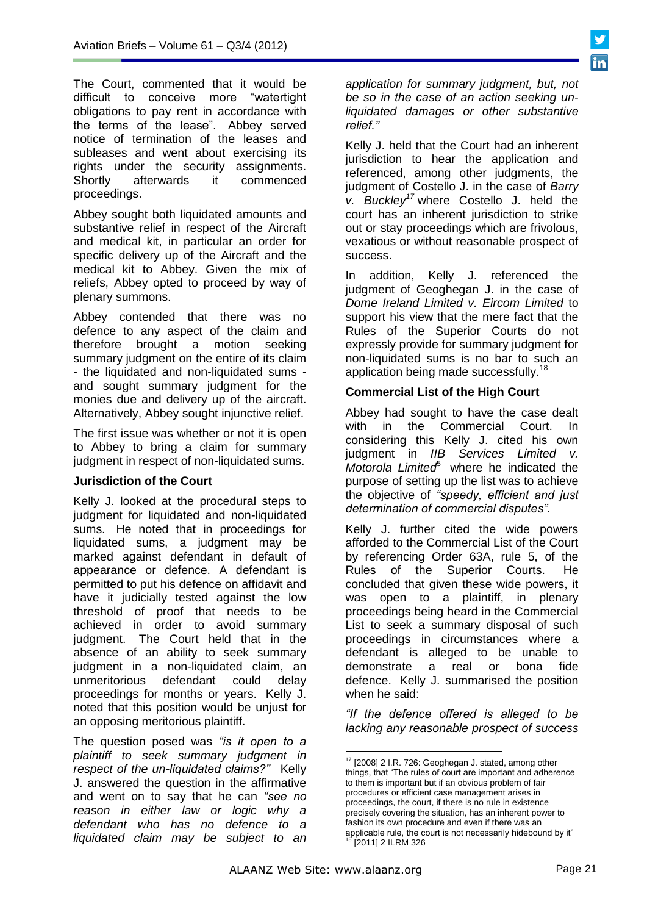The Court, commented that it would be difficult to conceive more "watertight obligations to pay rent in accordance with the terms of the lease". Abbey served notice of termination of the leases and subleases and went about exercising its rights under the security assignments.<br>Shortly afterwards it commenced afterwards it commenced proceedings.

Abbey sought both liquidated amounts and substantive relief in respect of the Aircraft and medical kit, in particular an order for specific delivery up of the Aircraft and the medical kit to Abbey. Given the mix of reliefs, Abbey opted to proceed by way of plenary summons.

Abbey contended that there was no defence to any aspect of the claim and therefore brought a motion seeking summary judgment on the entire of its claim - the liquidated and non-liquidated sums and sought summary judgment for the monies due and delivery up of the aircraft. Alternatively, Abbey sought injunctive relief.

The first issue was whether or not it is open to Abbey to bring a claim for summary judgment in respect of non-liquidated sums.

## **Jurisdiction of the Court**

Kelly J. looked at the procedural steps to judgment for liquidated and non-liquidated sums. He noted that in proceedings for liquidated sums, a judgment may be marked against defendant in default of appearance or defence. A defendant is permitted to put his defence on affidavit and have it judicially tested against the low threshold of proof that needs to be achieved in order to avoid summary judgment. The Court held that in the absence of an ability to seek summary judgment in a non-liquidated claim, an unmeritorious defendant could delay proceedings for months or years. Kelly J. noted that this position would be unjust for an opposing meritorious plaintiff.

The question posed was *"is it open to a plaintiff to seek summary judgment in respect of the un-liquidated claims?"* Kelly J. answered the question in the affirmative and went on to say that he can *"see no reason in either law or logic why a defendant who has no defence to a liquidated claim may be subject to an* 

*application for summary judgment, but, not be so in the case of an action seeking unliquidated damages or other substantive relief."*

Kelly J. held that the Court had an inherent jurisdiction to hear the application and referenced, among other judgments, the judgment of Costello J. in the case of *Barry v. Buckley<sup>17</sup>* where Costello J. held the court has an inherent jurisdiction to strike out or stay proceedings which are frivolous, vexatious or without reasonable prospect of success.

In addition, Kelly J. referenced the judgment of Geoghegan J. in the case of *Dome Ireland Limited v. Eircom Limited* to support his view that the mere fact that the Rules of the Superior Courts do not expressly provide for summary judgment for non-liquidated sums is no bar to such an application being made successfully.<sup>18</sup>

### **Commercial List of the High Court**

Abbey had sought to have the case dealt with in the Commercial Court. In considering this Kelly J. cited his own judgment in *IIB Services Limited v. Motorola Limited*<sup>6</sup> where he indicated the purpose of setting up the list was to achieve the objective of *"speedy, efficient and just determination of commercial disputes".*

Kelly J. further cited the wide powers afforded to the Commercial List of the Court by referencing Order 63A, rule 5, of the Rules of the Superior Courts. He concluded that given these wide powers, it was open to a plaintiff, in plenary proceedings being heard in the Commercial List to seek a summary disposal of such proceedings in circumstances where a defendant is alleged to be unable to demonstrate a real or bona fide defence. Kelly J. summarised the position when he said:

*"If the defence offered is alleged to be lacking any reasonable prospect of success* 

<u>.</u>

 $17$  [2008] 2 I.R. 726: Geoghegan J. stated, among other things, that "The rules of court are important and adherence to them is important but if an obvious problem of fair procedures or efficient case management arises in proceedings, the court, if there is no rule in existence precisely covering the situation, has an inherent power to fashion its own procedure and even if there was an applicable rule, the court is not necessarily hidebound by it" [2011] 2 ILRM 326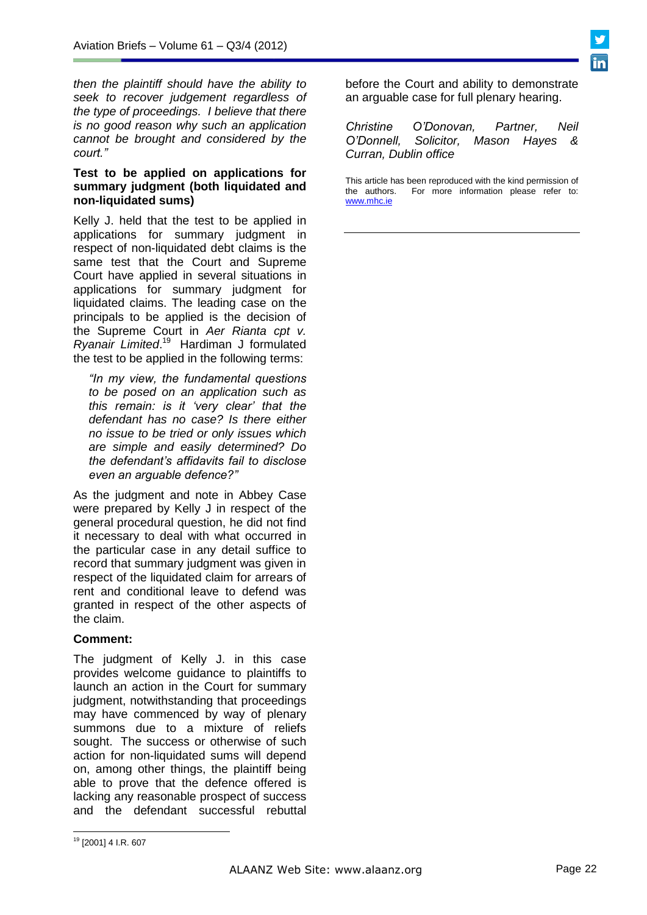*then the plaintiff should have the ability to seek to recover judgement regardless of the type of proceedings. I believe that there is no good reason why such an application cannot be brought and considered by the court."*

### **Test to be applied on applications for summary judgment (both liquidated and non-liquidated sums)**

Kelly J. held that the test to be applied in applications for summary judgment in respect of non-liquidated debt claims is the same test that the Court and Supreme Court have applied in several situations in applications for summary judgment for liquidated claims. The leading case on the principals to be applied is the decision of the Supreme Court in *Aer Rianta cpt v. Ryanair Limited*. <sup>19</sup> Hardiman J formulated the test to be applied in the following terms:

*"In my view, the fundamental questions to be posed on an application such as this remain: is it 'very clear' that the defendant has no case? Is there either no issue to be tried or only issues which are simple and easily determined? Do the defendant's affidavits fail to disclose even an arguable defence?"*

As the judgment and note in Abbey Case were prepared by Kelly J in respect of the general procedural question, he did not find it necessary to deal with what occurred in the particular case in any detail suffice to record that summary judgment was given in respect of the liquidated claim for arrears of rent and conditional leave to defend was granted in respect of the other aspects of the claim.

## **Comment:**

The judgment of Kelly J. in this case provides welcome guidance to plaintiffs to launch an action in the Court for summary judgment, notwithstanding that proceedings may have commenced by way of plenary summons due to a mixture of reliefs sought. The success or otherwise of such action for non-liquidated sums will depend on, among other things, the plaintiff being able to prove that the defence offered is lacking any reasonable prospect of success and the defendant successful rebuttal

before the Court and ability to demonstrate an arguable case for full plenary hearing.

*Christine O'Donovan, Partner, Neil O'Donnell, Solicitor, Mason Hayes & Curran, Dublin office*

This article has been reproduced with the kind permission of the authors. For more information please refer to: [www.mhc.ie](http://www.mhc.ie/)

 <sup>19</sup> [2001] 4 I.R. 607